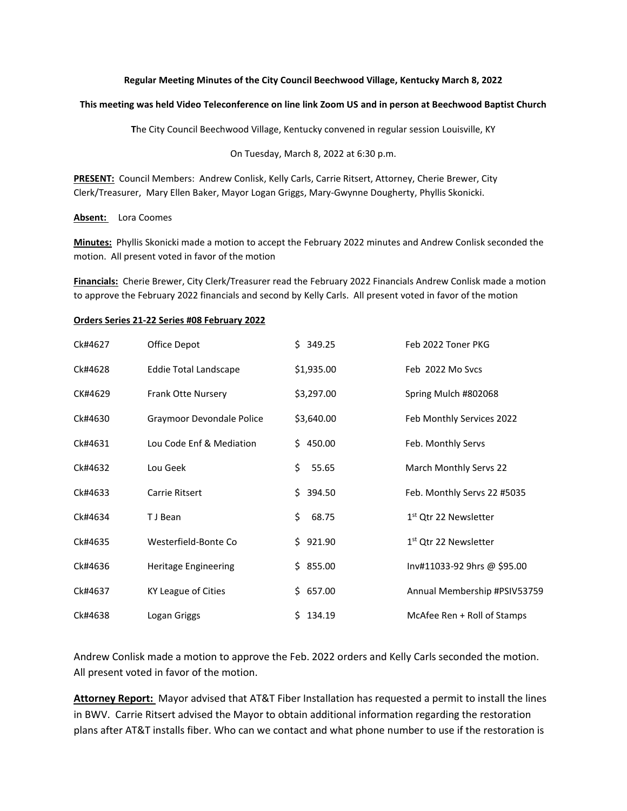## **Regular Meeting Minutes of the City Council Beechwood Village, Kentucky March 8, 2022**

## **This meeting was held Video Teleconference on line link Zoom US and in person at Beechwood Baptist Church**

**T**he City Council Beechwood Village, Kentucky convened in regular session Louisville, KY

On Tuesday, March 8, 2022 at 6:30 p.m.

**PRESENT:** Council Members: Andrew Conlisk, Kelly Carls, Carrie Ritsert, Attorney, Cherie Brewer, City Clerk/Treasurer, Mary Ellen Baker, Mayor Logan Griggs, Mary-Gwynne Dougherty, Phyllis Skonicki.

## **Absent:** Lora Coomes

**Minutes:** Phyllis Skonicki made a motion to accept the February 2022 minutes and Andrew Conlisk seconded the motion. All present voted in favor of the motion

**Financials:** Cherie Brewer, City Clerk/Treasurer read the February 2022 Financials Andrew Conlisk made a motion to approve the February 2022 financials and second by Kelly Carls. All present voted in favor of the motion

## **Orders Series 21-22 Series #08 February 2022**

| Ck#4627 | Office Depot                 | \$349.25     | Feb 2022 Toner PKG                |
|---------|------------------------------|--------------|-----------------------------------|
| Ck#4628 | <b>Eddie Total Landscape</b> | \$1,935.00   | Feb 2022 Mo Sycs                  |
| CK#4629 | <b>Frank Otte Nursery</b>    | \$3,297.00   | Spring Mulch #802068              |
| Ck#4630 | Graymoor Devondale Police    | \$3,640.00   | Feb Monthly Services 2022         |
| Ck#4631 | Lou Code Enf & Mediation     | \$450.00     | Feb. Monthly Servs                |
| Ck#4632 | Lou Geek                     | \$<br>55.65  | March Monthly Servs 22            |
| Ck#4633 | Carrie Ritsert               | \$394.50     | Feb. Monthly Servs 22 #5035       |
| Ck#4634 | T J Bean                     | \$<br>68.75  | 1 <sup>st</sup> Qtr 22 Newsletter |
| Ck#4635 | Westerfield-Bonte Co         | \$921.90     | 1 <sup>st</sup> Qtr 22 Newsletter |
| Ck#4636 | <b>Heritage Engineering</b>  | \$855.00     | Inv#11033-92 9hrs @ \$95.00       |
| Ck#4637 | KY League of Cities          | \$657.00     | Annual Membership #PSIV53759      |
| Ck#4638 | Logan Griggs                 | 134.19<br>S. | McAfee Ren + Roll of Stamps       |

Andrew Conlisk made a motion to approve the Feb. 2022 orders and Kelly Carls seconded the motion. All present voted in favor of the motion.

**Attorney Report:** Mayor advised that AT&T Fiber Installation has requested a permit to install the lines in BWV. Carrie Ritsert advised the Mayor to obtain additional information regarding the restoration plans after AT&T installs fiber. Who can we contact and what phone number to use if the restoration is